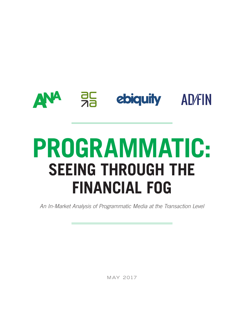# **ANA 35** ebiquity AD/FIN

# **PROGRAMMATIC: SEEING THROUGH THE FINANCIAL FOG**

*An In-Market Analysis of Programmatic Media at the Transaction Level*

MAY 2017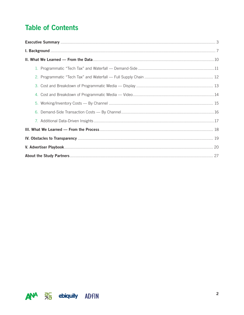# **Table of Contents**

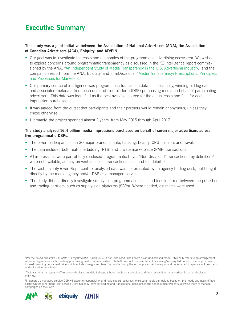# Executive Summary

#### This study was a joint initiative between the Association of National Advertisers (ANA), the Association of Canadian Advertisers (ACA), Ebiquity, and AD/FIN.

- Our goal was to investigate the costs and economics of the programmatic advertising ecosystem. We wished to explore concerns around programmatic transparency as discussed in the K2 Intelligence report commissioned by the ANA, ["An Independent Study of Media Transparency in the U.S. Advertising Industry,](https://www.ana.net/content/show/id/industry-initiative-media-transparency-report)" and the companion report from the ANA, Ebiquity, and FirmDecisions, "[Media Transparency: Prescriptions, Principles,](http://www.ana.net/content/show/id/industry-initiative-recommendations-overview)  [and Processes for Marketers](http://www.ana.net/content/show/id/industry-initiative-recommendations-overview)."
- Our primary source of intelligence was programmatic transaction data specifically, winning bid log data and associated metadata from each demand-side platform (DSP) purchasing media on behalf of participating advertisers. This data was identified as the best available source for the actual costs and fees for each impression purchased.
- It was agreed from the outset that participants and their partners would remain anonymous, unless they chose otherwise.
- Ultimately, the project spanned almost 2 years, from May 2015 through April 2017.

#### The study analyzed 16.4 billion media impressions purchased on behalf of seven major advertisers across five programmatic DSPs.

- The seven participants span 30 major brands in auto, banking, beauty, CPG, fashion, and travel.
- The data included both real-time bidding (RTB) and private marketplace (PMP) transactions.
- All impressions were part of fully disclosed programmatic buys. "Non-disclosed" transactions (by definition)<sup>1</sup> were not available, as they prevent access to transactional cost and fee details.<sup>2</sup>
- The vast majority (over 95 percent) of analyzed data was not executed by an agency trading desk, but bought directly by the media agency and/or DSP as a managed service.<sup>3</sup>
- The study did not directly investigate supply-side programmatic costs and fees incurred between the publisher and trading partners, such as supply-side platforms (SSPs). Where needed, estimates were used.

1 Per the ANA/Forrester's *The State of Programmatic Buying 2016*, a non-disclosed, also known as an undisclosed model, "typically refers to an arrangement where an agent and/or intermediary purchasing media on an advertiser's behalf does not disclose the actual closing/winning bid prices of media purchased, instead providing only a final price which includes margin and fees. By not disclosing the actual prices paid, margin (and potential arbitrage) are unknown and undisclosed to the client."

2Typically, when an agency offers a non-disclosed model, it allegedly buys media as a principal and then resells it to the advertiser for an undisclosed mark-up.

<sup>3</sup>In general, a managed service DSP will assume responsibility and have expert resources to execute media campaigns based on the needs and goals of each client. On the other hand, self-service DSPs typically leave all bidding and transactional decisions in the hands of users/clients, allowing them to manage campaigns on their own.

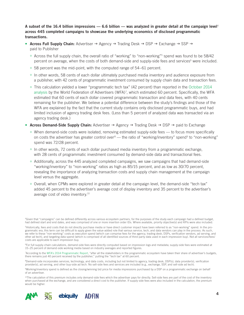A subset of the 16.4 billion impressions — 6.6 billion — was analyzed in greater detail at the campaign level<sup>4</sup> across 445 completed campaigns to showcase the underlying economics of disclosed programmatic transactions.

- Across Full Supply Chain: Advertiser  $\rightarrow$  Agency  $\rightarrow$  Trading Desk  $\rightarrow$  DSP  $\rightarrow$  Exchange  $\rightarrow$  SSP  $\rightarrow$ paid to Publisher
	- Across the full supply chain, the overall ratio of "working" to "non-working"<sup>5</sup> spend was found to be 58/42 percent on average, when the costs of both demand-side and supply-side fees and services<sup>6</sup> were included.
	- 58 percent was the mid-point, with the computed range of 54–61 percent.
	- In other words, 58 cents of each dollar ultimately purchased media inventory and audience exposure from a publisher, with 42 cents of programmatic investment consumed by supply chain data and transaction fees.
	- This calculation yielded a lower "programmatic tech tax" (42 percent) than reported in the [October 2014](https://www.wfanet.org/news-centre/wfa-publishes-guidance-on-best-use-of-programmatic-trading-2/)  [analysis](https://www.wfanet.org/news-centre/wfa-publishes-guidance-on-best-use-of-programmatic-trading-2/) by the World Federation of Advertisers (WFA)<sup>7</sup>, which estimated 60 percent. Specifically, the WFA estimated that 60 cents of each dollar covered programmatic transaction and data fees, with 40 cents remaining for the publisher. We believe a potential difference between the study's findings and those of the WFA are explained by the fact that the current study contains only disclosed programmatic buys, and had limited inclusion of agency trading desk fees. (Less than 5 percent of analyzed data was transacted via an agency trading desk.)
- Across Demand-Side Supply Chain: Advertiser  $\rightarrow$  Agency  $\rightarrow$  Trading Desk  $\rightarrow$  DSP  $\rightarrow$  paid to Exchange
	- When demand-side costs were isolated, removing estimated supply-side fees to focus more specifically on costs the advertiser has greater control over  $8$  — the ratio of "working/inventory" spend<sup>9</sup> to "non-working" spend was 72/28 percent.
	- In other words, 72 cents of each dollar purchased media inventory from a programmatic exchange, with 28 cents of programmatic investment consumed by demand-side data and transactional fees.
	- $\circ$  Additionally, across the 445 analyzed completed campaigns, we saw campaigns that had demand-side "working/inventory" to "non-working" ratios as high as 85/15 percent, and as low as 30/70 percent, revealing the importance of analyzing transaction costs and supply chain management at the campaign level versus the aggregate.
	- Overall, when CPMs were explored in greater detail at the campaign level, the demand-side "tech tax" added 45 percent to the advertiser's average cost of display inventory and 35 percent to the advertiser's average cost of video inventory.10

<sup>8</sup>Demand-side incorporates services, technology, and data costs, including but not limited to agency, trading desk, DSP(s), data provider(s), verification provider(s), ad serving, and other buy-side ad tech. No sell-side fees and services are included (e.g., exchange, SSP, and sell-side ad tech).

9Working/inventory spend is defined as the closing/winning bid price for media impressions purchased by a DSP on a programmatic exchange on behalf of an advertiser.

<sup>10</sup>The calculation of this premium includes only demand-side fees which the advertiser pays for directly. Sell-side fees are part of the cost of the inventory when purchased at the exchange, and are considered a direct cost to the publisher. If supply side fees were also included in the calculation, the premium would be higher.



<sup>4</sup>Given that "campaigns" can be defined differently across various ecosystem partners, for the purposes of the study each campaign had a defined budget, had defined start and end dates, and was comprised of one or more insertion order IDs. Where available, priority objective(s) and KPIs were also included.

<sup>&</sup>lt;sup>5</sup>Historically, fees and costs that do not directly purchase media or have direct customer impact have been referred to as "non-working" spend. In the programmatic era, this term can be difficult to apply given the value-added role that various service, tech, and data vendors can play in the process. As such, we refer to these "non-working" costs as execution spend (which can comprise fees for the agency, trading desk, DSPs, verification vendors, ad serving, and other ad tech), and targeting data spend (which is comprised of all identified sources of third-party data used in each impression buy). Not all services/fees/ costs are applicable to each impression buy.

<sup>6</sup>For full supply-chain calculations, demand-side fees were directly computed based on impression logs and metadata; supply-side fees were estimated at 15–25 percent of demand-side working media based on industry averages and reported figures.

<sup>7</sup> According to the [WFA's 2014 Programmatic Report,](https://www.wfanet.org/news-centre/wfa-publishes-guidance-on-best-use-of-programmatic-trading-2/) "after all the stakeholders in the programmatic ecosystem have taken their share of advertiser's budgets, there remains just 40 percent received by the publisher," putting the "tech tax" at 60 percent.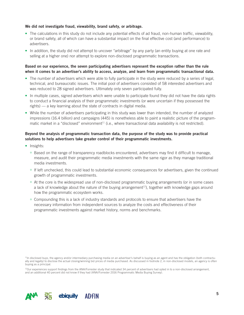#### We did not investigate fraud, viewability, brand safety, or arbitrage.

- The calculations in this study do not include any potential effects of ad fraud, non-human traffic, viewability, or brand safety, all of which can have a substantial impact on the final effective cost (and performance) to advertisers.
- In addition, the study did not attempt to uncover "arbitrage" by any party (an entity buying at one rate and selling at a higher one) nor attempt to explore non-disclosed programmatic transactions.

#### Based on our experience, the seven participating advertisers represent the exception rather than the rule when it comes to an advertiser's ability to access, analyze, and learn from programmatic transactional data.

- The number of advertisers which were able to fully participate in the study were reduced by a series of legal, technical, and bureaucratic issues. The initial pool of advertisers consisted of 58 interested advertisers and was reduced to 28 signed advertisers. Ultimately only seven participated fully.
- In multiple cases, signed advertisers which were unable to participate found they did not have the data rights to conduct a financial analysis of their programmatic investments (or were uncertain if they possessed the rights) — a key learning about the state of contracts in digital media.
- While the number of advertisers participating in this study was lower than intended, the number of analyzed impressions (16.4 billion) and campaigns (445) is nonetheless able to paint a realistic picture of the programmatic market in a "disclosed" environment<sup>11</sup> (i.e., where transactional data availability is not restricted).

#### Beyond the analysis of programmatic transaction data, the purpose of the study was to provide practical solutions to help advertisers take greater control of their programmatic investments.

- Insights:
	- Based on the range of transparency roadblocks encountered, advertisers may find it difficult to manage, measure, and audit their programmatic media investments with the same rigor as they manage traditional media investments.
	- If left unchecked, this could lead to substantial economic consequences for advertisers, given the continued growth of programmatic investments.
	- At the core is the widespread use of non-disclosed programmatic buying arrangements (or in some cases a lack of knowledge about the nature of the buying arrangement<sup>12</sup>), together with knowledge gaps around how the programmatic ecosystem works.
	- Compounding this is a lack of industry standards and protocols to ensure that advertisers have the necessary information from independent sources to analyze the costs and effectiveness of their programmatic investments against market history, norms and benchmarks.

<sup>12</sup>Our experiences support findings from the ANA/Forrester study that indicated 34 percent of advertisers had opted in to a non-disclosed arrangement, and an additional 40 percent did not know if they had (ANA/Forrester 2016 Programmatic Media Buying Survey).



<sup>&</sup>lt;sup>11</sup>In disclosed buys, the agency and/or intermediary purchasing media on an advertiser's behalf is buying as an agent and has the obligation (both contractually and legally) to disclose the actual closing/winning bid prices of media purchased. As discussed in footnote 2, in non-disclosed models, an agency is often buying as a principal.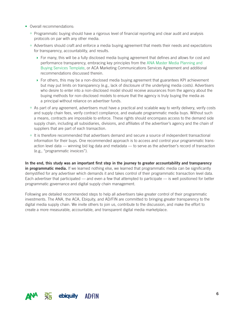- Overall recommendations:
	- Programmatic buying should have a rigorous level of financial reporting and clear audit and analysis protocols on par with any other media.
	- Advertisers should craft and enforce a media buying agreement that meets their needs and expectations for transparency, accountability, and results.
		- } For many, this will be a fully disclosed media buying agreement that defines and allows for cost and performance transparency, embracing key principles from the [ANA Master Media Planning and](http://www.ana.net/content/show/id/industry-initiative-recommendations-contract)  [Buying Services Template](http://www.ana.net/content/show/id/industry-initiative-recommendations-contract), or ACA Marketing Communications Services Agreement and additional recommendations discussed therein.
		- ▶ For others, this may be a non-disclosed media buying agreement that guarantees KPI achievement but may put limits on transparency (e.g., lack of disclosure of the underlying media costs). Advertisers who desire to enter into a non-disclosed model should receive assurances from the agency about the buying methods for non-disclosed models to ensure that the agency is truly buying the media as a principal without reliance on advertiser funds.
	- As part of any agreement, advertisers must have a practical and scalable way to verify delivery, verify costs and supply chain fees, verify contract compliance, and evaluate programmatic media buys. Without such a means, contracts are impossible to enforce. These rights should encompass access to the demand side supply chain, including all subsidiaries, divisions, and affiliates of the advertiser's agency and the chain of suppliers that are part of each transaction.
	- It is therefore recommended that advertisers demand and secure a source of independent transactional information for their buys. One recommended approach is to access and control your programmatic transaction level data — winning bid log data and metadata — to serve as the advertiser's record of transaction (e.g., "programmatic invoices").

In the end, this study was an important first step in the journey to greater accountability and transparency in programmatic media. If we learned nothing else, we learned that programmatic media can be significantly demystified for any advertiser which demands it and takes control of their programmatic transaction level data. Each advertiser that participated — and even a few that attempted to participate — is well positioned for better programmatic governance and digital supply chain management.

Following are detailed recommended steps to help all advertisers take greater control of their programmatic investments. The ANA, the ACA, Ebiquity, and AD/FIN are committed to bringing greater transparency to the digital media supply chain. We invite others to join us, contribute to the discussion, and make the effort to create a more measurable, accountable, and transparent digital media marketplace.

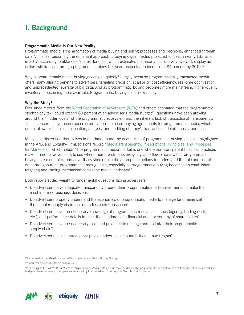# I. Background

#### Programmatic Media Is Our New Reality

Programmatic media is the automation of media buying and selling processes and decisions, enhanced through data<sup>13</sup>. It is fast becoming the dominant approach to buying digital media, projected to "reach nearly \$33 billion in 2017, according to eMarketer's latest forecast, which estimates that nearly four of every five U.S. display ad dollars will transact through programmatic pipes this year…expected to increase to 84 percent by 2019."14

Why is programmatic media buying growing so quickly? Largely because programmatically transacted media offers many alluring benefits to advertisers: targeting precision, scalability, cost efficiency, real-time optimization, and unprecedented leverage of big data. And as programmatic buying becomes more mainstream, higher-quality inventory is becoming more available. Programmatic buying is our new reality.

#### Why the Study?

Ever since reports from the [World Federation of Advertisers \(WFA\)](http://www.ana.net/miccontent/show/id/kp-wfa-guide-to-programmatic-media) and others estimated that the programmatic "technology tax" could exceed 60 percent of an advertiser's media budget<sup>15</sup>, questions have been growing around the "hidden costs" of the programmatic ecosystem and the inherent lack of transactional transparency. These concerns have been exacerbated by non-disclosed buying agreements for programmatic media, which do not allow for the close inspection, analysis, and auditing of a buy's transactional details, costs, and fees.

Many advertisers find themselves in the dark around the economics of programmatic buying, an issue highlighted in the ANA and Ebiquity/FirmDecisions report, ["Media Transparency: Prescriptions, Principles, and Processes](http://www.ana.net/content/show/id/industry-initiative-recommendations-overview)  [for Marketers,](http://www.ana.net/content/show/id/industry-initiative-recommendations-overview)" which noted: "The programmatic media market is one where non-transparent business practices make it hard for advertisers to see where their investments are going…the flow of data within programmatic buying is also complex, and advertisers should take the appropriate actions to understand the role and use of data throughout the programmatic trading chain, especially as programmatic buying becomes an established targeting and trading mechanism across the media landscape."

Both reports added weight to fundamental questions facing advertisers:

- Do advertisers have adequate transparency around their programmatic media investments to make the most informed business decisions?
- Do advertisers properly understand the economics of programmatic media to manage (and minimize) the complex supply chain that underlies each transaction?
- Do advertisers have the necessary knowledge of programmatic media costs, fees (agency, trading desk, etc.), and performance details to meet the standards of a financial audit or scrutiny of shareholders?
- Do advertisers have the necessary tools and guidance to manage and optimize their programmatic supply chain?
- Do advertisers have contracts that provide adequate accountability and audit rights?

<sup>13</sup>As defined in the ANA/Forrester 2016 Programmatic Media Buying Survey

14eMarketer April 2017; Mediapost 4/18/17



<sup>&</sup>lt;sup>15</sup>According to the WFA's 2014 Guide to Programmatic Media, "after all the stakeholders in the programmatic ecosystem have taken their share of advertisers' budgets, there remains just 40 percent received by the publisher…" putting the "tech tax" at 60 percent.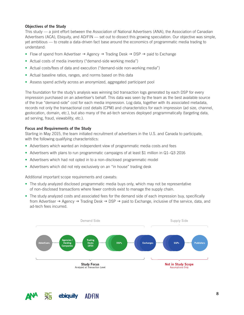#### Objectives of the Study

This study — a joint effort between the Association of National Advertisers (ANA), the Association of Canadian Advertisers (ACA), Ebiquity, and AD/FIN — set out to dissect this growing speculation. Our objective was simple, yet ambitious — to create a data-driven fact base around the economics of programmatic media trading to understand:

- Flow of spend from Advertiser  $\rightarrow$  Agency  $\rightarrow$  Trading Desk  $\rightarrow$  DSP  $\rightarrow$  paid to Exchange
- Actual costs of media inventory ("demand-side working media")
- Actual costs/fees of data and execution ("demand-side non-working media")
- Actual baseline ratios, ranges, and norms based on this data
- Assess spend activity across an anonymized, aggregated participant pool

The foundation for the study's analysis was winning bid transaction logs generated by each DSP for every impression purchased on an advertiser's behalf. This data was seen by the team as the best available source of the true "demand-side" cost for each media impression. Log data, together with its associated metadata, records not only the transactional cost details (CPM) and characteristics for each impression (ad size, channel, geolocation, domain, etc.), but also many of the ad-tech services deployed programmatically (targeting data, ad serving, fraud, viewability, etc.).

#### Focus and Requirements of the Study

Starting in May 2015, the team initiated recruitment of advertisers in the U.S. and Canada to participate, with the following qualifying characteristics:

- Advertisers which wanted an independent view of programmatic media costs and fees
- Advertisers with plans to run programmatic campaigns of at least \$1 million in Q1–Q3 2016
- Advertisers which had not opted in to a non-disclosed programmatic model
- Advertisers which did not rely exclusively on an "in house" trading desk

Additional important scope requirements and caveats:

- The study analyzed disclosed programmatic media buys only, which may not be representative of non-disclosed transactions where fewer controls exist to manage the supply chain.
- The study analyzed costs and associated fees for the demand side of each impression buy, specifically from Advertiser  $\rightarrow$  Agency  $\rightarrow$  Trading Desk  $\rightarrow$  DSP  $\rightarrow$  paid to Exchange, inclusive of the service, data, and ad-tech fees incurred.



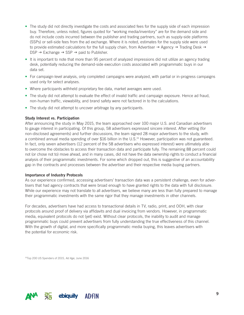- The study did not directly investigate the costs and associated fees for the supply side of each impression buy. Therefore, unless noted, figures quoted for "working media/inventory" are for the demand side and do not include costs incurred between the publisher and trading partners, such as supply-side platforms (SSPs) or sell-side fees from the ad exchange. Where it is noted, estimates for the supply side were used to provide estimated calculations for the full supply chain, from Advertiser  $\rightarrow$  Agency  $\rightarrow$  Trading Desk  $\rightarrow$  $DSP \rightarrow Exchange \rightarrow SSP \rightarrow paid to Publisher.$
- It is important to note that more than 95 percent of analyzed impressions did not utilize an agency trading desk, potentially reducing the demand-side execution costs associated with programmatic buys in our data set.
- For campaign-level analysis, only completed campaigns were analyzed, with partial or in-progress campaigns used only for select analyses.
- Where participants withheld proprietary fee data, market averages were used.
- The study did not attempt to evaluate the effect of invalid traffic and campaign exposure. Hence ad fraud, non-human traffic, viewability, and brand safety were not factored in to the calculations.
- The study did not attempt to uncover arbitrage by any participants.

#### Study Interest vs. Participation

After announcing the study in May 2015, the team approached over 100 major U.S. and Canadian advertisers to gauge interest in participating. Of this group, 58 advertisers expressed sincere interest. After vetting (for non-disclosed agreements) and further discussions, the team signed 28 major advertisers to the study, with a combined annual media spending of over \$16 billion in the U.S.16 However, participation was not guaranteed. In fact, only seven advertisers (12 percent of the 58 advertisers who expressed interest) were ultimately able to overcome the obstacles to access their transaction data and participate fully. The remaining 88 percent could not (or chose not to) move ahead, and in many cases, did not have the data ownership rights to conduct a financial analysis of their programmatic investments. For some which dropped out, this is suggestive of an accountability gap in the contracts and processes between the advertiser and their respective media buying partners.

#### Importance of Industry Protocols

As our experience confirmed, accessing advertisers' transaction data was a persistent challenge, even for advertisers that had agency contracts that were broad enough to have granted rights to the data with full disclosure. While our experience may not translate to all advertisers, we believe many are less than fully prepared to manage their programmatic investments with the same rigor that they manage investments in other channels.

For decades, advertisers have had access to transactional details in TV, radio, print, and OOH, with clear protocols around proof of delivery via affidavits and dual invoicing from vendors. However, in programmatic media, equivalent protocols do not (yet) exist. Without clear protocols, the inability to audit and manage programmatic buys could prevent advertisers from fully understanding the true effectiveness of this channel. With the growth of digital, and more specifically programmatic media buying, this leaves advertisers with the potential for economic risk.

16Top 200 US Spenders of 2015, *Ad Age*, June 2016

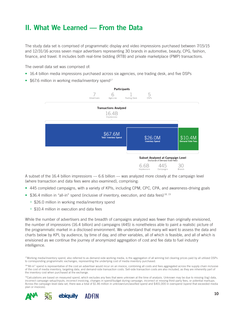# II. What We Learned — From the Data

The study data set is comprised of programmatic display and video impressions purchased between 7/15/15 and 12/31/16 across seven major advertisers representing 30 brands in automotive, beauty, CPG, fashion, finance, and travel. It includes both real-time bidding (RTB) and private marketplace (PMP) transactions.

The overall data set was comprised of:

- 16.4 billion media impressions purchased across six agencies, one trading desk, and five DSPs
- \$67.6 million in working media/inventory spend $17$



A subset of the 16.4 billion impressions — 6.6 billion — was analyzed more closely at the campaign level (where transaction and data fees were also examined), comprising:

- 445 completed campaigns, with a variety of KPIs, including CPM, CPC, CPA, and awareness-driving goals
- \$36.4 million in "all-in" spend (inclusive of inventory, execution, and data fees)  $18$ ,  $19$ 
	- \$26.0 million in working media/inventory spend
	- \$10.4 million in execution and data fees

While the number of advertisers and the breadth of campaigns analyzed was fewer than originally envisioned, the number of impressions (16.4 billion) and campaigns (445) is nonetheless able to paint a realistic picture of the programmatic market in a disclosed environment. We understand that many will want to assess the data and charts below by KPI, by audience, by time of day, and other variables, all of which is feasible, and all of which is envisioned as we continue the journey of anonymized aggregation of cost and fee data to fuel industry intelligence.

<sup>&</sup>lt;sup>19</sup>Calculations are based on measured spend, which excludes any fees that were unknown at the time of analysis. Unknown may be due to missing (log) data, incorrect campaign setup/inputs, incorrect invoicing, changes in spend/budget during campaign, incorrect or missing third-party fees, or potential markups. Across the campaign-level data set, there was a total of \$1.46 million in unknown/unclassified spend and \$401,000 in overspend (spend that exceeded media plan or invoices).



<sup>&</sup>lt;sup>17</sup>Working media/inventory spend, also referred to as demand-side working media, is the aggregation of all winning bid clearing prices paid by all utilized DSPs to corresponding programmatic exchanges, representing the underlying cost of media inventory purchased.

<sup>18&</sup>quot;All-in" spend is representative of the cost an advertiser would incur on an invoice, combining all costs and fees aggregated across the supply chain inclusive of the cost of media inventory, targeting data, and demand-side transaction costs. Sell-side transaction costs are also included, as they are inherently part of the inventory cost when purchased at the exchange.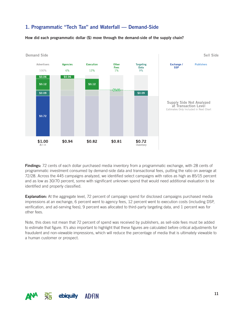## 1. Programmatic "Tech Tax" and Waterfall — Demand-Side

How did each programmatic dollar (\$) move through the demand-side of the supply chain?



**Findings:** 72 cents of each dollar purchased media inventory from a programmatic exchange, with 28 cents of programmatic investment consumed by demand-side data and transactional fees, putting the ratio on average at 72/28. Across the 445 campaigns analyzed, we identified select campaigns with ratios as high as 85/15 percent and as low as 30/70 percent, some with significant unknown spend that would need additional evaluation to be identified and properly classified.

**Explanation:** At the aggregate level, 72 percent of campaign spend for disclosed campaigns purchased media impressions at an exchange, 6 percent went to agency fees, 12 percent went to execution costs (including DSP, verification, and ad-serving fees), 9 percent was allocated to third-party targeting data, and 1 percent was for other fees.

Note, this does not mean that 72 percent of spend was received by publishers, as sell-side fees must be added to estimate that figure. It's also important to highlight that these figures are calculated before critical adjustments for fraudulent and non-viewable impressions, which will reduce the percentage of media that is ultimately viewable to a human customer or prospect.

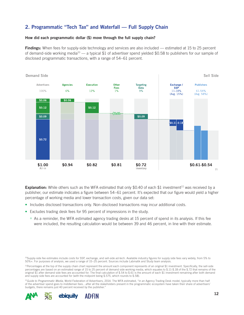## 2. Programmatic "Tech Tax" and Waterfall — Full Supply Chain

#### How did each programmatic dollar (\$) move through the full supply chain?

**Findings:** When fees for supply-side technology and services are also included — estimated at 15 to 25 percent of demand-side working media<sup>20</sup> — a typical \$1 of advertiser spend yielded \$0.58 to publishers for our sample of disclosed programmatic transactions, with a range of 54–61 percent.



**Explanation:** While others such as the WFA estimated that only \$0.40 of each \$1 investment<sup>22</sup> was received by a publisher, our estimate indicates a figure between 54–61 percent. It's expected that our figure would yield a higher percentage of working media and lower transaction costs, given our data set:

- Includes disclosed transactions only. Non-disclosed transactions may incur additional costs.
- Excludes trading desk fees for 95 percent of impressions in the study.
	- As a reminder, the WFA estimated agency trading desks at 15 percent of spend in its analysis. If this fee were included, the resulting calculation would be between 39 and 46 percent, in line with their estimate.

<sup>22</sup>Guide to Programmatic Media, World Federation of Advertisers, 2014. The WFA estimated, "in an Agency Trading Desk model, typically more than half of the advertiser spend goes to middleman fees…after all the stakeholders present in the programmatic ecosystem have taken their share of advertisers' budgets, there remains just 40 percent received by the publisher."



<sup>&</sup>lt;sup>20</sup>Supply-side fee estimates include costs for SSP, exchange, and sell-side ad-tech. Available industry figures for supply side fees vary widely, from 5% to 50%+. For purposes of analysis, we used a range of 15–25 percent. Sources include Labmatik and Study team analysis.

<sup>21</sup>Percentages at the top of the supply chain chart represent the amount each component represents of an original \$1 investment. Specifically, the sell-side percentages are based on an estimated range of 15 to 25 percent of demand side working media, which equates to \$.11-\$.18 of the \$.72 that remains of the original \$1 after demand side fees are accounted for. The final calculation of \$.54 to \$.61 is the amount of each \$1 investment remaining after both demand and supply side fees are accounted for (with the midpoint being \$.575, which rounds to \$.58).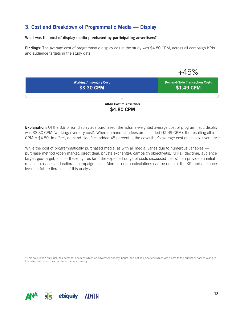## 3. Cost and Breakdown of Programmatic Media — Display

#### What was the cost of display media purchased by participating advertisers?

Findings: The average cost of programmatic display ads in the study was \$4.80 CPM, across all campaign KPIs and audience targets in the study data.



**Explanation:** Of the 3.9 billion display ads purchased, the volume-weighted average cost of programmatic display was \$3.30 CPM (working/inventory cost). When demand-side fees are included (\$1.49 CPM), the resulting all-in CPM is \$4.80. In effect, demand-side fees added 45 percent to the advertiser's average cost of display inventory.<sup>23</sup>

While the cost of programmatically purchased media, as with all media, varies due to numerous variables purchase method (open market, direct deal, private exchange), campaign objective(s), KPI(s), day/time, audience target, geo-target, etc. — these figures (and the expected range of costs discussed below) can provide an initial means to assess and calibrate campaign costs. More in-depth calculations can be done at the KPI and audience levels in future iterations of this analysis.

23This calculation only includes demand-side fees which an advertiser directly incurs, and not sell-side fees which are a cost to the publisher passed along to the advertiser when they purchase media inventory.

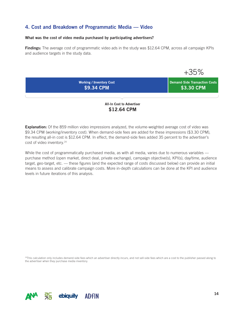### 4. Cost and Breakdown of Programmatic Media — Video

#### What was the cost of video media purchased by participating advertisers?

Findings: The average cost of programmatic video ads in the study was \$12.64 CPM, across all campaign KPIs and audience targets in the study data.

 $+35%$ **Working / Inventory Cost Demand-Side Transaction Costs \$9.34 CPM** \$3.30 CPM

> All-In Cost to Advertiser \$12.64 CPM

**Explanation:** Of the 859 million video impressions analyzed, the volume-weighted average cost of video was \$9.34 CPM (working/inventory cost). When demand-side fees are added for these impressions (\$3.30 CPM), the resulting all-in cost is \$12.64 CPM. In effect, the demand-side fees added 35 percent to the advertiser's cost of video inventory.<sup>24</sup>

While the cost of programmatically purchased media, as with all media, varies due to numerous variables purchase method (open market, direct deal, private exchange), campaign objective(s), KPI(s), day/time, audience target, geo-target, etc. — these figures (and the expected range of costs discussed below) can provide an initial means to assess and calibrate campaign costs. More in-depth calculations can be done at the KPI and audience levels in future iterations of this analysis.

<sup>24</sup>This calculation only includes demand-side fees which an advertiser directly incurs, and not sell-side fees which are a cost to the publisher passed along to the advertiser when they purchase media inventory.

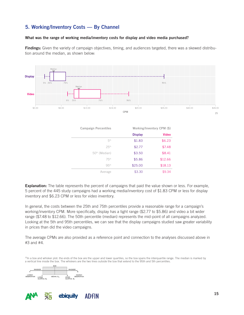## 5. Working/Inventory Costs — By Channel

#### What was the range of working media/inventory costs for display and video media purchased?

Findings: Given the variety of campaign objectives, timing, and audiences targeted, there was a skewed distribution around the median, as shown below:



**Explanation:** The table represents the percent of campaigns that paid the value shown or less. For example, 5 percent of the 445 study campaigns had a working media/inventory cost of \$1.83 CPM or less for display inventory and \$6.23 CPM or less for video inventory.

In general, the costs between the 25th and 75th percentiles provide a reasonable range for a campaign's working/inventory CPM. More specifically, display has a tight range (\$2.77 to \$5.86) and video a bit wider range (\$7.48 to \$12.66). The 50th percentile (median) represents the mid-point of all campaigns analyzed. Looking at the 5th and 95th percentiles, we can see that the display campaigns studied saw greater variability in prices than did the video campaigns.

The average CPMs are also provided as a reference point and connection to the analyses discussed above in #3 and #4.

<sup>25</sup>In a box and whisker plot: the ends of the box are the upper and lower quartiles, so the box spans the interquartile range. The median is marked by a vertical line inside the box. The whiskers are the two lines outside the box that extend to the 95th and 5th percentiles.

![](_page_14_Figure_8.jpeg)

![](_page_14_Picture_9.jpeg)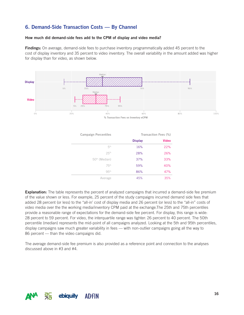## 6. Demand-Side Transaction Costs — By Channel

#### How much did demand-side fees add to the CPM of display and video media?

**Findings:** On average, demand-side fees to purchase inventory programmatically added 45 percent to the cost of display inventory and 35 percent to video inventory. The overall variability in the amount added was higher for display than for video, as shown below.

![](_page_15_Figure_3.jpeg)

| <b>Campaign Percentiles</b> |                | Transaction Fees (%) |
|-----------------------------|----------------|----------------------|
|                             | <b>Display</b> | <b>Video</b>         |
| 5th                         | 16%            | 22%                  |
| 25 <sup>th</sup>            | 28%            | 26%                  |
| 50 <sup>th</sup> (Median)   | 37%            | 33%                  |
| 75th                        | 59%            | 40%                  |
| 95th                        | 86%            | 47%                  |
| Average                     | 45%            | 35%                  |

**Explanation:** The table represents the percent of analyzed campaigns that incurred a demand-side fee premium of the value shown or less. For example, 25 percent of the study campaigns incurred demand side fees that added 28 percent (or less) to the "all-in' cost of display media and 26 percent (or less) to the "all-in" costs of video media over the the working media/inventory CPM paid at the exchange.The 25th and 75th percentiles provide a reasonable range of expectations for the demand-side fee percent. For display, this range is wide: 28 percent to 59 percent. For video, the interquartile range was tighter: 26 percent to 40 percent. The 50th percentile (median) represents the mid-point of all campaigns analyzed. Looking at the 5th and 95th percentiles, display campaigns saw much greater variability in fees — with non-outlier campaigns going all the way to 86 percent — than the video campaigns did.

The average demand-side fee premium is also provided as a reference point and connection to the analyses discussed above in #3 and #4.

![](_page_15_Picture_7.jpeg)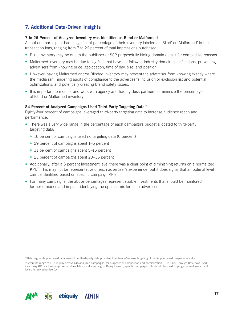## 7. Additional Data-Driven Insights

#### 7 to 26 Percent of Analyzed Inventory was Identified as Blind or Malformed

All but one participant had a significant percentage of their inventory labeled as 'Blind' or 'Malformed' in their transaction logs, ranging from 7 to 26 percent of total impressions purchased.

- Blind inventory may be due to the publisher or SSP purposefully hiding domain details for competitive reasons.
- Malformed inventory may be due to log files that have not followed industry domain specifications, preventing advertisers from knowing price, geolocation, time of day, size, and position.
- However, having Malformed and/or Blinded inventory may prevent the advertiser from knowing exactly where the media ran, hindering audits of compliance to the advertiser's inclusion or exclusion list and potential optimizations, and potentially creating brand safety issues.
- It is important to monitor and work with agency and trading desk partners to minimize the percentage of Blind or Malformed inventory.

#### 84 Percent of Analyzed Campaigns Used Third-Party Targeting Data<sup>26</sup>

Eighty-four percent of campaigns leveraged third-party targeting data to increase audience reach and performance.

- There was a very wide range in the percentage of each campaign's budget allocated to third-party targeting data:
	- 16 percent of campaigns used no targeting data (0 percent)
	- 29 percent of campaigns spent 1–5 percent
	- 31 percent of campaigns spent 5–15 percent
	- 23 percent of campaigns spent 20–35 percent
- Additionally, after a 5 percent investment level there was a clear point of diminishing returns on a normalized KPI.27 This may not be representative of each advertiser's experience, but it does signal that an optimal level can be identified based on specific campaign KPIs.
- For many campaigns, the above percentages represent sizable investments that should be monitored for performance and impact, identifying the optimal mix for each advertiser.

<sup>26</sup>Data segments purchased or licensed from third-party data providers to enhance/improve targeting of media purchased programmatically.

<sup>27</sup>Given the range of KPIs in play across 445 analyzed campaigns, for purposes of comparison and normalization, CTR (Click-Through Rate) was used as a proxy KPI, as it was captured and available for all campaigns. Going forward, specific campaign KPIs should be used to gauge optimal investment levels for any advertiser(s).

![](_page_16_Picture_18.jpeg)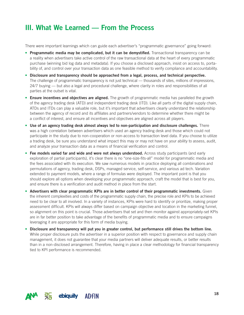# III. What We Learned — From the Process

There were important learnings which can guide each advertiser's "programmatic governance" going forward:

- Programmatic media may be complicated, but it can be demystified. Transactional transparency can be a reality when advertisers take active control of the raw transactional data at the heart of every programmatic purchase (winning bid log data and metadata). If you choose a disclosed approach, insist on access to, portability of, and control over your transaction data as one feasible method to verify compliance and accountability.
- Disclosure and transparency should be approached from a legal, process, and technical perspective. The challenge of programmatic transparency is not just technical — thousands of sites, millions of impressions, 24/7 buying — but also a legal and procedural challenge, where clarity in roles and responsibilities of all parties at the outset is vital.
- Ensure incentives and objectives are aligned. The growth of programmatic media has paralleled the growth of the agency trading desk (ATD) and independent trading desk (ITD). Like all parts of the digital supply chain, ATDs and ITDs can play a valuable role, but it's important that advertisers clearly understand the relationship between the agency of record and its affiliates and partners/vendors to determine whether there might be a conflict of interest, and ensure all incentives and objectives are aligned across all players.
- Use of an agency trading desk almost always led to non-participation and disclosure challenges. There was a high correlation between advertisers which used an agency trading desk and those which could not participate in the study due to non-cooperation or non-access to transaction level data. If you choose to utilize a trading desk, be sure you understand what impact this may or may not have on your ability to assess, audit, and analyze your transaction data as a means of financial verification and control.
- Fee models varied far and wide and were not always understood. Across study participants (and early exploration of partial participants), it's clear there is no "one-size-fits-all" model for programmatic media and the fees associated with its execution. We saw numerous models in practice deploying all combinations and permutations of agency, trading desk, DSPs, managed service, self-service, and various ad tech. Variation extended to payment models, where a range of formulas were deployed. The important point is that you should explore all options when developing your programmatic approach, craft the model that is best for you, and ensure there is a verification and audit method in place from the start.
- Advertisers with clear programmatic KPIs are in better control of their programmatic investments. Given the inherent complexities and costs of the programmatic supply chain, the precise role and KPIs to be achieved need to be clear to all involved. In a variety of instances, KPIs were hard to identify or prioritize, making proper assessment difficult. KPIs will always differ based on campaign objective and location in the marketing funnel, so alignment on this point is crucial. Those advertisers that set and then monitor against appropriately-set KPIs are in far better position to take advantage of the benefits of programmatic media and to ensure campaigns leveraging it are appropriate for this form of media buying.
- Disclosure and transparency will put you in greater control, but performance still drives the bottom line. While proper disclosure puts the advertiser in a superior position with respect to governance and supply chain management, it does not guarantee that your media partners will deliver adequate results, or better results than in a non-disclosed arrangement. Therefore, having in place a clear methodology for financial transparency tied to KPI performance is recommended.

![](_page_17_Picture_9.jpeg)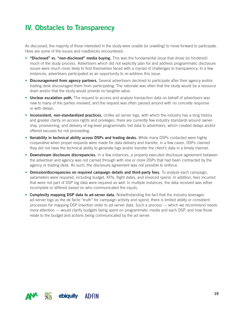## IV. Obstacles to Transparency

As discussed, the majority of those interested in the study were unable (or unwilling) to move forward to participate. Here are some of the issues and roadblocks encountered:

- "Disclosed" vs. "non-disclosed" media buying. This was the fundamental issue that drove (or hindered) much of the study process. Advertisers which did not explicitly plan for and address programmatic disclosure issues were much more likely to find themselves faced with a myriad of challenges to transparency. In a few instances, advertisers participated as an opportunity to re-address this issue.
- Discouragement from agency partners. Several advertisers declined to participate after their agency and/or trading desk discouraged them from participating. The rationale was often that the study would be a resource drain and/or that the study would provide no tangible value.
- Unclear escalation path. The request to access and analyze transaction data on behalf of advertisers was new to many of the parties involved, and the request was often passed around with no concrete response or with delays.
- Inconsistent, non-standardized practices. Unlike ad server logs, with which the industry has a long history and greater clarity on access rights and privileges, there are currently few industry standards around ownership, provisioning, and delivery of log-level programmatic bid data to advertisers, which created delays and/or offered excuses for not proceeding.
- Variability in technical ability across DSPs and trading desks. While many DSPs contacted were highly cooperative when proper requests were made for data delivery and transfer, in a few cases, DSPs claimed they did not have the technical ability to generate logs and/or transfer the client's data in a timely manner.
- Downstream disclosure discrepancies. In a few instances, a properly executed disclosure agreement between the advertiser and agency was not carried through with one or more DSPs that had been contracted by the agency or trading desk. As such, the disclosure agreement was not possible to enforce.
- Omission/discrepancies on required campaign details and third-party fees. To analyze each campaign, parameters were required, including budget, KPIs, flight dates, and invoiced spend. In addition, fees incurred that were not part of DSP log data were required as well. In multiple instances, the data received was either incomplete or differed based on who communicated the inputs.
- Complexity mapping DSP data to ad-server data. Notwithstanding the fact that the industry leverages ad-server logs as the de facto "truth" for campaign activity and spend, there is limited ability or consistent processes for mapping DSP insertion order to ad-server data. Such a process — which we recommend needs more attention — would clarify budgets being spent on programmatic media and each DSP, and how those relate to the budget and actions being communicated by the ad server.

![](_page_18_Picture_10.jpeg)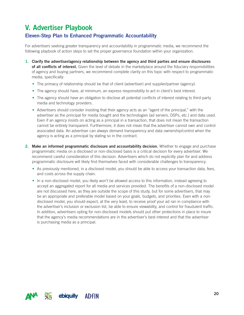# V. Advertiser Playbook

## Eleven-Step Plan to Enhanced Programmatic Accountability

For advertisers seeking greater transparency and accountability in programmatic media, we recommend the following playbook of action steps to set the proper governance foundation within your organization.

- 1. Clarify the advertiser/agency relationship between the agency and third parties and ensure disclosures of all conflicts of interest. Given the level of debate in the marketplace around the fiduciary responsibilities of agency and buying partners, we recommend complete clarity on this topic with respect to programmatic media, specifically:
	- The primacy of relationship should be that of client (advertiser) and supplier/partner (agency).
	- The agency should have, at minimum, an express responsibility to act in client's best interest.
	- The agency should have an obligation to disclose all potential conflicts of interest relating to third-party media and technology providers.
	- Advertisers should consider insisting that their agency acts as an "agent of the principal," with the advertiser as the principal for media bought and the technologies (ad servers, DSPs, etc.) and data used. Even if an agency insists on acting as a principal in a transaction, that does not mean the transaction cannot be entirely transparent. Furthermore, it does not mean that the advertiser cannot own and control associated data. An advertiser can always demand transparency and data ownership/control when the agency is acting as a principal by stating so in the contract.
- 2. Make an informed programmatic disclosure and accountability decision. Whether to engage and purchase programmatic media on a disclosed or non-disclosed basis is a critical decision for every advertiser. We recommend careful consideration of this decision. Advertisers which do not explicitly plan for and address programmatic disclosure will likely find themselves faced with considerable challenges to transparency.
	- As previously mentioned, in a disclosed model, you should be able to access your transaction data, fees, and costs across the supply chain.
	- In a non-disclosed model, you likely won't be allowed access to this information, instead agreeing to accept an aggregated report for all media and services provided. The benefits of a non-disclosed model are not discussed here, as they are outside the scope of this study, but for some advertisers, that may be an appropriate and preferable model based on your goals, budgets, and priorities. Even with a nondisclosed model, you should expect, at the very least, to receive proof your ad ran in compliance with the advertiser's inclusion or exclusion list, be able to ensure viewability, and control for fraudulent traffic. In addition, advertisers opting for non-disclosed models should put other protections in place to insure that the agency's media recommendations are in the advertiser's best interest and that the advertiser is purchasing media as a principal.

![](_page_19_Picture_11.jpeg)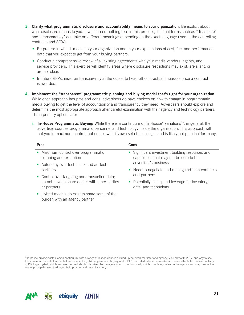- 3. Clarify what programmatic disclosure and accountability means to your organization. Be explicit about what disclosure means to you. If we learned nothing else in this process, it is that terms such as "disclosure" and "transparency" can take on different meanings depending on the exact language used in the controlling contracts and SOWs.
	- Be precise in what it means to your organization and in your expectations of cost, fee, and performance data that you expect to get from your buying partners.
	- Conduct a comprehensive review of all existing agreements with your media vendors, agents, and service providers. This exercise will identify areas where disclosure restrictions may exist, are silent, or are not clear.
	- In future RFPs, insist on transparency at the outset to head off contractual impasses once a contract is awarded.
- 4. Implement the "transparent" programmatic planning and buying model that's right for your organization. While each approach has pros and cons, advertisers do have choices on how to engage in programmatic media buying to get the level of accountability and transparency they need. Advertisers should explore and determine the most appropriate approach after careful examination with their agency and technology partners. Three primary options are:
	- i. In-House Programmatic Buying: While there is a continuum of "in-house" variations<sup>28</sup>, in general, the advertiser sources programmatic personnel and technology inside the organization. This approach will put you in maximum control, but comes with its own set of challenges and is likely not practical for many.

| <b>Pros</b> |                                                               | Cons |                                                                                             |
|-------------|---------------------------------------------------------------|------|---------------------------------------------------------------------------------------------|
|             | • Maximum control over programmatic<br>planning and execution |      | • Significant investment building resources and<br>capabilities that may not be core to the |
|             | • Autonomy over tech stack and ad-tech                        |      | advertiser's business                                                                       |
|             | partners                                                      |      | • Need to negotiate and manage ad-tech contracts                                            |
|             | • Control over targeting and transaction data;                |      | and partners                                                                                |
|             | do not have to share details with other parties               |      | • Potentially less spend leverage for inventory,                                            |

data, and technology

• Hybrid models do exist to share some of the burden with an agency partner

or partners

<sup>28</sup>In-house buying exists along a continuum, with a range of responsibilities divided up between marketer and agency. Via Labmatik, 2017, one way to see this continuum is as follows: a) full in-house activity; b) programmatic buying unit (PBU) brand-led, where the marketer oversees the bulk of related activity; c) PBU agency-led, which involves the marketer but is driven by the agency; and d) outsourced, which completely relies on the agency and may involve the use of principal-based trading units to procure and resell inventory.

![](_page_20_Picture_9.jpeg)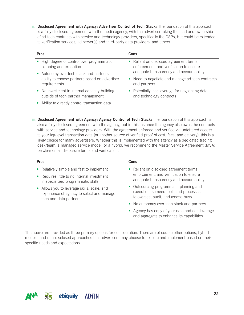ii. Disclosed Agreement with Agency; Advertiser Control of Tech Stack: The foundation of this approach is a fully disclosed agreement with the media agency, with the advertiser taking the lead and ownership of ad-tech contracts with service and technology providers, specifically the DSPs, but could be extended to verification services, ad server(s) and third-party data providers, and others.

| <b>Pros</b>                                    | Cons                                             |  |
|------------------------------------------------|--------------------------------------------------|--|
| • High degree of control over programmatic     | • Reliant on disclosed agreement terms,          |  |
| planning and execution                         | enforcement, and verification to ensure          |  |
| • Autonomy over tech stack and partners;       | adequate transparency and accountability         |  |
| ability to choose partners based on advertiser | • Need to negotiate and manage ad-tech contracts |  |
| requirements                                   | and partners                                     |  |
| • No investment in internal capacity-building  | • Potentially less leverage for negotiating data |  |
| outside of tech partner management             | and technology contracts                         |  |

• Ability to directly control transaction data

iii. Disclosed Agreement with Agency; Agency Control of Tech Stack: The foundation of this approach is also a fully disclosed agreement with the agency, but in this instance the agency also owns the contracts with service and technology providers. With the agreement enforced and verified via unfettered access to your log-level transaction data (or another source of verified proof of cost, fees, and delivery), this is a likely choice for many advertisers. Whether this is implemented with the agency as a dedicated trading desk/team, a managed service model, or a hybrid, we recommend the Master Service Agreement (MSA) be clear on all disclosure terms and verification.

| <b>Pros</b>                                                                                                        | Cons                                                                                                                    |  |
|--------------------------------------------------------------------------------------------------------------------|-------------------------------------------------------------------------------------------------------------------------|--|
| • Relatively simple and fast to implement                                                                          | • Reliant on disclosed agreement terms,                                                                                 |  |
| • Requires little to no internal investment<br>in specialized programmatic skills                                  | enforcement, and verification to ensure<br>adequate transparency and accountability                                     |  |
| • Allows you to leverage skills, scale, and<br>experience of agency to select and manage<br>tech and data partners | • Outsourcing programmatic planning and<br>execution, so need tools and processes<br>to oversee, audit, and assess buys |  |
|                                                                                                                    | • No autonomy over tech stack and partners                                                                              |  |
|                                                                                                                    | • Agency has copy of your data and can leverage<br>and aggregate to enhance its capabilities                            |  |

The above are provided as three primary options for consideration. There are of course other options, hybrid models, and non-disclosed approaches that advertisers may choose to explore and implement based on their specific needs and expectations.

![](_page_21_Picture_6.jpeg)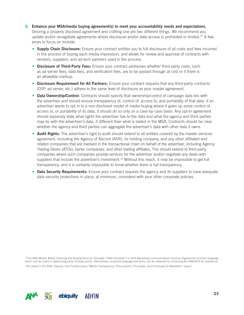- 5. Enhance your MSA/media buying agreement(s) to meet your accountability needs and expectations. Desiring a properly disclosed agreement and crafting one are two different things. We recommend you update and/or renegotiate agreements where disclosure and/or data access is prohibited or limited.<sup>29</sup> A few areas to focus on include:
	- Supply Chain Disclosure: Ensure your contract entitles you to full disclosure of all costs and fees incurred in the process of buying each media impression, and allows for review and approval of contracts with vendors, suppliers, and ad-tech partners used in the process.
	- Disclosure of Third-Party Fees: Ensure your contract addresses whether third-party costs, such as ad-server fees, data fees, and verification fees, are to be passed through at cost or if there is an allowable markup.
	- Disclosure Requirement for All Partners: Ensure your contract requires that any third-party contracts (DSP, ad server, etc.) adhere to the same level of disclosure as your master agreement.
	- Data Ownership/Control: Contracts should specify that ownership/control of campaign data lies with the advertiser and should ensure transparency of, control of, access to, and portability of that data. If an advertiser wants to opt in to a non-disclosed model of media buying where it gives up some control of, access to, or portability of its data, it should do so only on a case-by-case basis. Any opt-in agreement should expressly state what rights the advertiser has to the data and what the agency and third parties may do with the advertiser's data, if different than what is stated in the MSA. Contracts should be clear whether the agency and third parties can aggregate the advertiser's data with other data it owns.
	- Audit Rights: The advertiser's right to audit should extend to all entities covered by the master services agreement, including the Agency of Record (AOR), its holding company, and any other affiliated and related companies that are involved in the transactional chain on behalf of the advertiser, including Agency Trading Desks (ATDs), barter companies, and other trading affiliates. This should extend to third-party companies where such companies provide services for the advertiser and/or negotiate any deals with suppliers that include the advertiser's investment.<sup>30</sup> Without this reach, it may be impossible to get full transparency, and it is certainly impossible to *know* whether there is full transparency.
	- **Data Security Requirements:** Ensure your contract requires the agency and its suppliers to have adequate data security protections in place, at minimum, consistent with your other corporate policies.

<sup>29</sup>The ANA Master Media Planning and Buying Services Template ("ANA Template") or ACA Marketing Communications Services Agreement provides language which can be useful in addressing some of these points. Alternatively, proposed language and terms can be obtained by contacting the ANA/ACA for assistance. 30As stated in the ANA, Ebquity, and FirmDecisions "Media Transparency: Prescriptions, Principles, and Processes for Marketers" report.

![](_page_22_Picture_8.jpeg)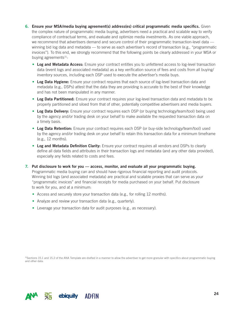- 6. Ensure your MSA/media buying agreement(s) address(es) critical programmatic media specifics. Given the complex nature of programmatic media buying, advertisers need a practical and scalable way to verify compliance of contractual terms, and evaluate and optimize media investments. As one viable approach, we recommend that advertisers demand and secure control of their programmatic transaction-level data winning bid log data and metadata — to serve as each advertiser's record of transaction (e.g., "programmatic invoices"). To this end, we strongly recommend that the following points be clearly addressed in your MSA or buying agreements $31$ :
	- Log and Metadata Access: Ensure your contract entitles you to unfettered access to log-level transaction data (event logs and associated metadata) as a key verification source of fees and costs from all buying/ inventory sources, including each DSP used to execute the advertiser's media buys.
	- Log Data Hygiene: Ensure your contract requires that each source of log-level transaction data and metadata (e.g., DSPs) attest that the data they are providing is accurate to the best of their knowledge and has not been manipulated in any manner.
	- Log Data Partitioned: Ensure your contract requires your log-level transaction data and metadata to be properly partitioned and siloed from that of other, potentially competitive advertisers and media buyers.
	- Log Data Delivery: Ensure your contract requires each DSP (or buying technology/team/tool) being used by the agency and/or trading desk on your behalf to make available the requested transaction data on a timely basis.
	- Log Data Retention: Ensure your contract requires each DSP (or buy-side technology/team/tool) used by the agency and/or trading desk on your behalf to retain this transaction data for a minimum timeframe (e.g., 12 months).
	- Log and Metadata Definition Clarity: Ensure your contract requires all vendors and DSPs to clearly define all data fields and attributes in their transaction logs and metadata (and any other data provided), especially any fields related to costs and fees.
- 7. Put disclosure to work for you access, monitor, and evaluate all your programmatic buying. Programmatic media buying can and should have rigorous financial reporting and audit protocols. Winning bid logs (and associated metadata) are practical and scalable proxies that can serve as your "programmatic invoices" and financial receipts for media purchased on your behalf. Put disclosure to work for you, and at a minimum:
	- Access and securely store your transaction data (e.g., for rolling 12 months).
	- Analyze and review your transaction data (e.g., quarterly).
	- Leverage your transaction data for audit purposes (e.g., as necessary).

31Sections 15.1 and 15.2 of the ANA Template are drafted in a manner to allow the advertiser to get more granular with specifics about programmatic buying and other data.

![](_page_23_Picture_12.jpeg)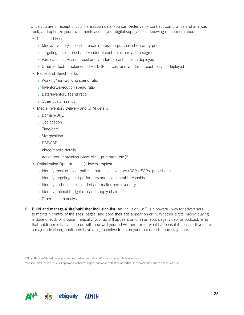Once you are in receipt of your transaction data, you can better verify contract compliance and analyze, track, and optimize your investments across your digital supply chain, knowing much more about:

- Costs and Fees
	- Media/inventory cost of each impression purchased (clearing price)
	- Targeting data cost and vendor of each third-party data segment
	- Verification services cost and vendor for each service deployed
	- o Other ad tech (implemented via DSP) cost and vendor for each service deployed
- Ratios and Benchmarks
	- Working/non-working spend ratio
	- o Inventory/execution spend ratio
	- Data/inventory spend ratio
	- Other custom ratios
- Media Inventory Delivery and CPM details
	- Domain/URL
	- Geolocation
	- Time/date
	- Size/position
	- o DSP/SSP
	- Video/mobile details
	- o Action per impression (view, click, purchase, etc.)<sup>32</sup>
- Optimization Opportunities (a few examples)
	- o Identify most efficient paths to purchase inventory (DSPs, SSPs, publishers)
	- o Identify targeting data performers and investment thresholds
	- o Identify and minimize blinded and malformed inventory
	- $\circ$  Identify optimal budget mix and supply chain
	- Other custom analysis

8. Build and manage a site/publisher inclusion list. An inclusion list<sup>33</sup> is a powerful way for advertisers to maintain control of the sites, pages, and apps their ads appear on or in. Whether digital media buying is done directly or programmatically, your ad still appears on or in an app, page, video, or podcast. Who that publisher is has a lot to do with how well your ad will perform or what happens if it doesn't. If you are a major advertiser, publishers have a big incentive to be on your inclusion list and stay there.

32Note: this can/should be augmented with ad server data and/or data from attribution services.

33An inclusion list is a list of all approved websites, pages, and/or apps that an advertiser is allowing their ads to appear on or in.

![](_page_24_Picture_28.jpeg)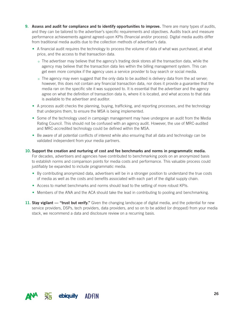- 9. Assess and audit for compliance and to identify opportunities to improve. There are many types of audits, and they can be tailored to the advertiser's specific requirements and objectives. Audits track and measure performance achievements against agreed-upon KPIs (financial and/or process). Digital media audits differ from traditional media audits due to the collection methods of advertiser's data.
	- A financial audit requires the technology to process the volume of data of what was purchased, at what price, and the access to that transaction data.
		- The advertiser may believe that the agency's trading desk stores all the transaction data, while the agency may believe that the transaction data lies within the billing management system. This can get even more complex if the agency uses a service provider to buy search or social media.
		- $\circ$  The agency may even suggest that the only data to be audited is delivery data from the ad server; however, this does not contain any financial transaction data, nor does it provide a guarantee that the media ran on the specific site it was supposed to. It is essential that the advertiser and the agency agree on what the definition of transaction data is, where it is located, and what access to that data is available to the advertiser and auditor.
	- A process audit checks the planning, buying, trafficking, and reporting processes, and the technology that underpins them, to ensure the MSA is being implemented.
	- Some of the technology used in campaign management may have undergone an audit from the Media Rating Council. This should not be confused with an agency audit. However, the use of MRC-audited and MRC-accredited technology could be defined within the MSA.
	- Be aware of all potential conflicts of interest while also ensuring that all data and technology can be validated independent from your media partners.
- 10. Support the creation and nurturing of cost and fee benchmarks and norms in programmatic media. For decades, advertisers and agencies have contributed to benchmarking pools on an anonymized basis to establish norms and comparison points for media costs and performance. This valuable process could justifiably be expanded to include programmatic media.
	- By contributing anonymized data, advertisers will be in a stronger position to understand the true costs of media as well as the costs and benefits associated with each part of the digital supply chain.
	- Access to market benchmarks and norms should lead to the setting of more robust KPIs.
	- Members of the ANA and the ACA should take the lead in contributing to pooling and benchmarking.
- 11. Stay vigilant "trust but verify." Given the changing landscape of digital media, and the potential for new service providers, DSPs, tech providers, data providers, and so on to be added (or dropped) from your media stack, we recommend a data and disclosure review on a recurring basis.

![](_page_25_Picture_12.jpeg)